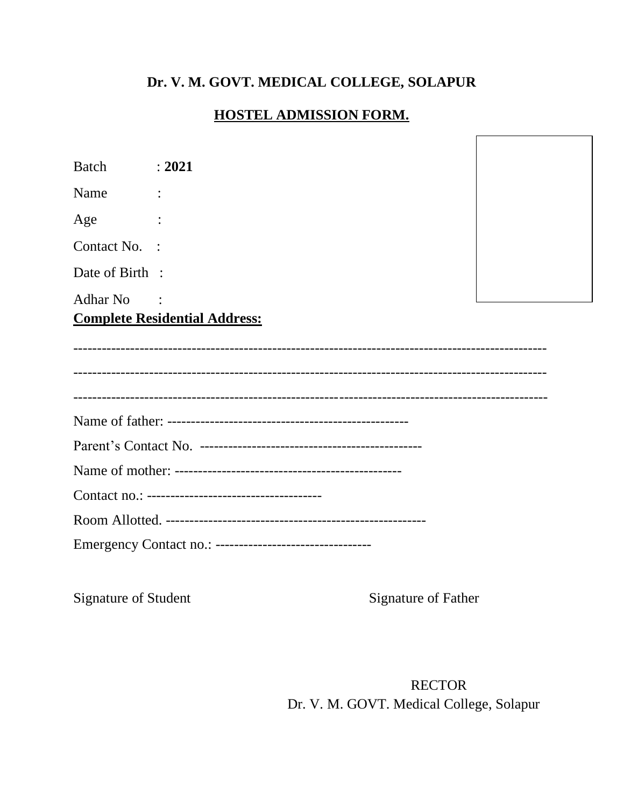## **Dr. V. M. GOVT. MEDICAL COLLEGE, SOLAPUR**

## **HOSTEL ADMISSION FORM.**

Batch : **2021** Name : Age : Contact No. : Date of Birth : Adhar No :

**Complete Residential Address:** 

| Emergency Contact no.: ----------------------------------- |
|------------------------------------------------------------|

Signature of Student Signature of Father

RECTOR Dr. V. M. GOVT. Medical College, Solapur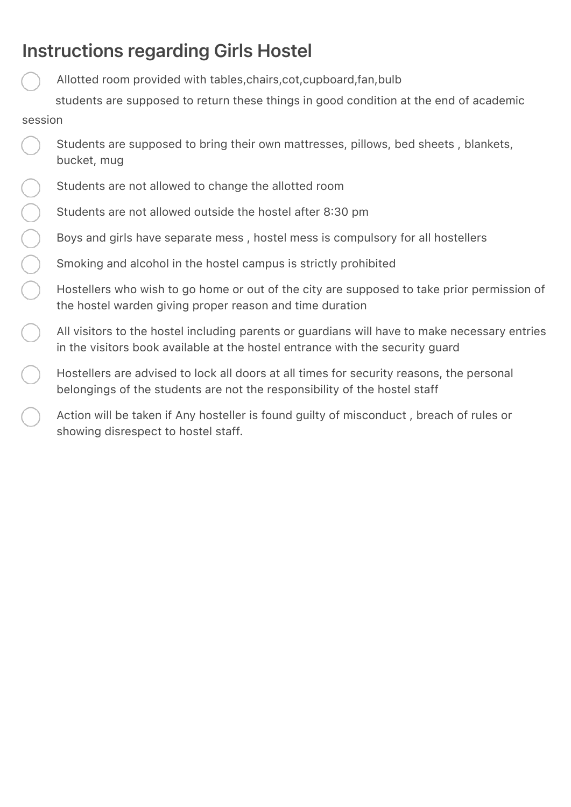# Instructions regarding Girls Hostel

Allotted room provided with tables,chairs,cot,cupboard,fan,bulb

 students are supposed to return these things in good condition at the end of academic session

- Students are supposed to bring their own mattresses, pillows, bed sheets , blankets, bucket, mug
- Students are not allowed to change the allotted room
- Students are not allowed outside the hostel after 8:30 pm
- Boys and girls have separate mess , hostel mess is compulsory for all hostellers
- Smoking and alcohol in the hostel campus is strictly prohibited
- Hostellers who wish to go home or out of the city are supposed to take prior permission of the hostel warden giving proper reason and time duration
- All visitors to the hostel including parents or guardians will have to make necessary entries in the visitors book available at the hostel entrance with the security guard
- Hostellers are advised to lock all doors at all times for security reasons, the personal belongings of the students are not the responsibility of the hostel staff
- Action will be taken if Any hosteller is found guilty of misconduct , breach of rules or showing disrespect to hostel staff.